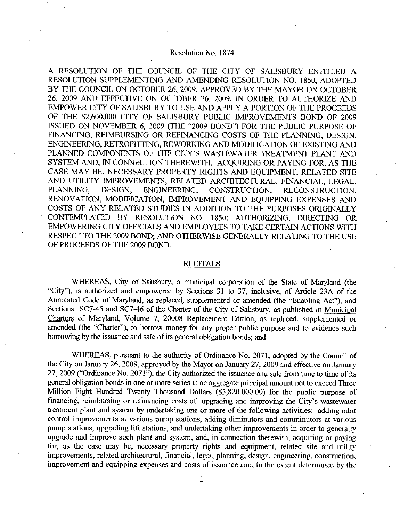## Resolution No. 1874

A RESOLUTION OF THE COUNCIL OF THE CITY OF SALISBURY ENTITLED A RESOLUTION SUPPLEMENTING AND AMENDING RESOLUTION NO. 1850, ADOPTED BY THE COUNCIL ON OCTOBER 26, 2009, APPROVED BY THE MAYOR ON OCTOBER 26 <sup>2009</sup> AND EFFECTIVE ON OCTOBER 26 2009 IN ORDER TO AUTHORIZE AND EMPOWER CITY OF SALISBURY TO USE AND APPLY A PORTION OF THE PROCEEDS A RESOLUTION OF THE COUNCIL OF THE CITY OF SALISBURY ENTITLED A<br>RESOLUTION SUPPLEMENTING AND AMENDING RESOLUTION NO. 1850, ADOPTED<br>BY THE COUNCIL ON OCTOBER 26, 2009, APPROVED BY THE MAYOR ON OCTOBER<br>26, 2009 AND EFFECTIVE ISSUED ON NOVEMBER 6, 2009 (THE "2009 BOND") FOR THE PUBLIC PURPOSE OF FINANCING, REIMBURSING OR REFINANCING COSTS OF THE PLANNING, DESIGN, ENGINEERING, RETROFITTING, REWORKING AND MODIFICATION OF EXISTING AND PLANNED COMPONENTS OF THE CITY'S WASTEWATER TREATMENT PLANT AND SYSTEM AND, IN CONNECTION THEREWITH, ACQUIRING OR PAYING FOR, AS THE CASE MAY BE, NECESSARY PROPERTY RIGHTS AND EQUIPMENT, RELATED SITE AND UTILITY IMPROVEMENTS, RELATED ARCHITECTURAL, FINANCIAL, LEGAL, PLANNING, DESIGN, ENGINEERING, CONSTRUCTION, RECONSTRUCTION. RECONSTRUCTION. RENOVATION, MODIFICATION, IMPROVEMENT AND EQUIPPING EXPENSES AND COSTS OF ANY RELATED STUDIES IN ADDITION TO THE PURPOSES ORIGINALLY CONTEMPLATED BY RESOLUTION NO. 1850; AUTHORIZING, DIRECTING OR EMPOWERING CITY OFFICIALS AND EMPLOYEES TO TAKE CERTAIN ACTIONS WITH RESPECT TO THE 2009 BOND; AND OTHERWISE GENERALLY RELATING TO THE USE OF PROCEEDS OF THE 2009 BOND

## RECITALS

WHEREAS, City of Salisbury, a municipal corporation of the State of Maryland (the "City"), is authorized and empowered by Sections 31 to 37, inclusive, of Article 23A of the Annotated Code of Maryland, as replaced, supplemented or amended (the "Enabling Act"), and<br>Sections SC7-45 and SC7-46 of the Charter of the City of Salisbury, as published in <u>Municipal</u> Charters of Maryland, Volume 7, 20008 Replacement Edition, as replaced, supplemented or borrowing by the issuance and sale of its general obligation bonds; and

amended (the "Charter"), to borrow money for any proper public purpose and to evidence such borrowing by the issuance and sale of its general obligation bonds; and WHEREAS, pursuant to the authority of Ordinance No. 2071, WHEREAS, pursuant to the authority of Ordinance No. 2071, adopted by the Council of the City on January 26, 2009, approved by the Mayor on January 27, 2009 and effective on January 27, 2009 ("Ordinance No. 2071"), the City authorized the issuance and sale from time to time of its general obligation bonds in one or more series in an aggregate principal amount not to exceed Three<br>Million Eight Hundred Twenty Thousand Dollars (\$3,820,000.00) for the public purpose of<br>financing, reimbursing or refinanc treatment plant and system by undertaking one or more of the following activities: adding odor control improvements at various pump stations, adding diminutors and comminutors at various pump stations, upgrading lift stations, and undertaking other improvements in order to generally upgrade and improve such plant and system, and, in connection therewith, acquiring or paying for, as the case may be, necessary property rights and equipment, related site and utility improvements, related architectural, financial, legal, planning, design, engineering, construction, improvement and equipping expenses and costs of issuance and, to the extent determined by the

1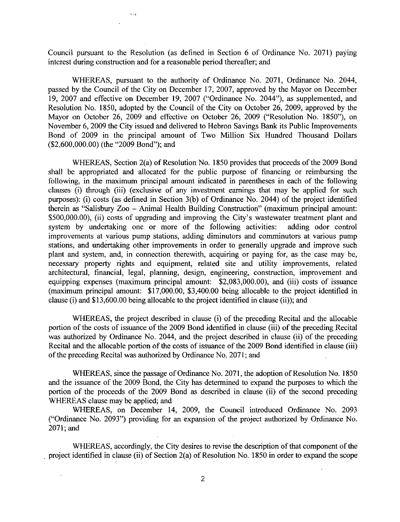Council pursuant to the Resolution (as defined in Section  $6$  of Ordinance No. 2071) paying interest during construction and for a reasonable period thereafter; and

 $\ddotsc$ 

WHEREAS, pursuant to the authority of Ordinance No. 2071, Ordinance No. 2044, passed by the Council of the City on December 17, 2007, approved by the Mayor on December 19, 2007 and effective on December 19, 2007 ("Ordinance No. 2044"), as supplemented, and Resolution No. 1850, adopted by the Council of the City on October 26, 2009, approved by the Mayor on October 26, 2009 and effective on October 26, 2009 ("Resolution No. 1850"), on November 6, 2009 the City issued and delivered to Hebron Savings Bank its Public Improvements Bond of 2009 in the principal amount of Two Million Six Hundred Thousand Dollazs WHEREA<br>
passed by the Co<br>
19, 2007 and eff<br>
Resolution No. 1<br>
Mayor on Octob<br>
November 6, 200<br>
Bond of 2009<br>
(\$2,600,000.00) (<br>
WHEREA Mayor on October 26, 2009 and effec<br>November 6, 2009 the City issued and de<br>Bond of 2009 in the principal amo<br>(\$2,600,000.00) (the "2009 Bond"); and

WHEREAS, Section 2(a) of Resolution No. 1850 provides that proceeds of the 2009 Bond shall be appropriated and allocated for the public purpose of financing or reimbursing the following, in the maximum principal amount indicated in parentheses in each of the following shall be appropriated and allocated for the public purpose of financing or reimbursing the following, in the maximum principal amount indicated in parentheses in each of the following clauses (i) through (iii) (exclusive o following, in<br>clauses (i) th<br>purposes): (i)<br>therein as "Sa clauses (i) through (iii) (exclusive of any investment earnings that may be applied for such purposes): (i) costs (as defined in Section 3(b) of Ordinance No. 2044) of the project identified therein as "Salisbury  $Zoo - Animal Health Building Construction"$  (maximum principal amount: burposes): (i) diodgif (iii) (exclusive of any investment earnings that may be applied to stated<br>purposes): (i) costs (as defined in Section 3(b) of Ordinance No. 2044) of the project identified<br>therein as "Salisbury Zoo – \$500,000.00), (ii) costs of upgrading and improving the City's wastewater treatment plant and system by undertaking one or more of the following activities: adding odor control improvements at various pump stations, adding diminutors and comminutors at various pump stations, and undertaking other improvements in order to generally upgrade and improve such plant and system, and, in connection therewith, acquiring or paying for, as the case may be, necessary property rights and equipment, related site and utility improvements, related architectural, financial, legal, planning, design, engineering, construction, improvement and equipping expenses (maximum principal amount: \$2,083,000.00), and (iii) costs of issuance \$500,000.00), (ii) costs of upgrading and improving the City's wastewater treatment plant and system by undertaking one or more of the following activities: adding odor control improvements at various pump stations, addin maximum principal amount: the project identified in clause (ii)); and the scheme (i) and \$13,600.00 being allocable to the project identified in clause (i) and \$13,600.00 being allocable to the project identified in clause equipping expenses (maximum principal amount: \$2,083,000.00), and (iii) conditional mount: \$17,000.00, \$3,400.00 being allocable to the projections: clause (i) and \$13,600.00 being allocable to the project identified in cl

i) and \$13,600.00 being allocable to the project i<br>WHEREAS, the project described in clause (i)<br>of the costs of issuance of the 2009 Bond ident of the preceding Recital and the allocable portion of the costs of issuance of the 2009 Bond identified in clause (iii) of the preceding Recital was authorized by Ordinance No. 2044, and the project described in clause (ii) of the preceding Recital and the allocable portion of the costs of issuance of the 2009 Bond identified in clause (iii) of the preceding Recital was authorized by Ordinance No. 2071; and

WHEREAS, since the passage of Ordinance No. 2071, the adoption of Resolution No. 1850 and the issuance of the 2009 Bond, the City has determined to expand the purposes to which the portion of the proceeds of the 2009 Bond as described in clause (ii) of the second preceding WHEREAS clause may be applied; and

WHEREAS, on December 14, 2009, the Council introduced Ordinance No. 2093 ("Ordinance No. 2093") providing for an expansion of the project authorized by Ordinance No.  $2071$ ; and

WHEREAS, accordingly, the City desires to revise the description of that component of the WHEREAS, accordingly, the City desires to revise the description of that component of the project identified in clause (ii) of Section 2(a) of Resolution No. 1850 in order to expand the scope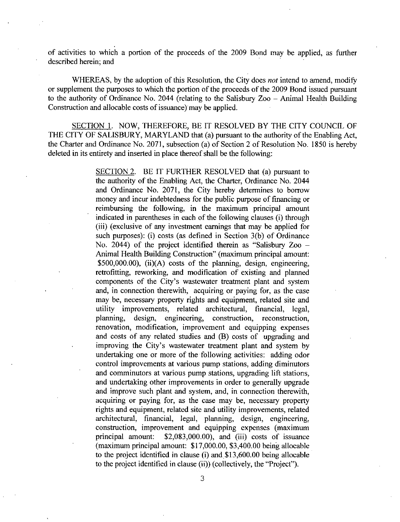of activities to which a portion of the proceeds of the 2009 Bond may be applied, as further described herein: and

WHEREAS, by the adoption of this Resolution, the City does *not* intend to amend, modify or supplement the purposes to which the portion of the proceeds of the 2009 Bond issued pursuant to the authority of Ordinance No. 2044 (relating to the Salisbury  $Zoo -$  Animal Health Building Construction and allocable costs of issuance) may be applied.

SECTION 1. NOW, THEREFORE, BE IT RESOLVED BY THE CITY COUNCIL OF THE CITY OF SALISBURY, MARYLAND that (a) pursuant to the authority of the Enabling Act, the Charter and Ordinance No. 2071, subsection (a) of Section 2 of Resolution No. 1850 is hereby deleted in its entirety and inserted in place thereof shall be the following:

> SECTION 2. BE IT FURTHER RESOLVED that (a) pursuant to the authority of the Enabling Act, the Charter, Ordinance No. 2044 and Ordinance No. 2071, the City hereby determines to borrow money and incur indebtedness for the public purpose of financing or reimbursing the following, in the maximum principal amount money and incur indebtedness for the public purpose of financing or<br>reimbursing the following, in the maximum principal amount<br>indicated in parentheses in each of the following clauses (i) through<br>(iii) (exclusive of any i indicated in parentheses in each of the following clauses (i) through (iii) (exclusive of any investment earnings that may be applied for indicated in parentheses in each of the following clauses (i) through<br>(iii) (exclusive of any investment earnings that may be applied for<br>such purposes): (i) costs (as defined in Section 3(b) of Ordinance<br>No. 2044) of the No. 2044) of the project identified therein as "Salisbury  $Z_{00}$  – Animal Health Building Construction" (maximum principal amount:  $$500,000.00$ ), (ii)(A) costs of the planning, design, engineering, such purposes): (i) costs (as defined in Section 3(b) of Ordinance<br>No. 2044) of the project identified therein as "Salisbury Zoo –<br>Animal Health Building Construction" (maximum principal amount:<br>\$500,000.00), (ii)(A) costs retrofitting, reworking, and modification of existing and planned \$500,000.00), (ii)(A) cos<br>retrofitting, reworking, ar<br>components of the City's<br>and, in connection therew components of the City's wastewater treatment plant and system and, in connection therewith, acquiring or paying for, as the case may be, necessary property rights and equipment, related site and utility improvements. related architectural. financial. legal. utility improvements, related architectural, financial, planning, design, engineering, construction, reconstruction planning, design, engineering, construction, reconstruction, planting, design, engineering, construction, reconstruction, renovation, renovation, improvement and equipping expenses and costs of any related studies and (B) costs of upgrading and improving the City's wastewater treatm undertaking one or more of the following activities: adding odor control improvements at various pump stations, adding diminutors and comminutors at various pump stations, upgrading lift stations, and undertaking other improvements in order to generally upgrade and improve such plant and system, and, in connection therewith, acquiring or paying for, as the case may be, necessary property rights and equipment, related site and utility improvements, related architectural, financial, legal, planning, design, engineering, construction, improvement and equipping expenses (maximum principal amount:  $$2,083,000.00$ ), and (iii) costs of issuance confirm improvements at various pamp stations, adamg diminuted<br>and comminutors at various pump stations, upgrading lift stations,<br>and undertaking other improvements in order to generally upgrade<br>and improve such plant and rights and equipment, related site and utility improvements, related architectural, financial, legal, planning, design, engineering, construction, improvement and equipping expenses (maximum principal amount: \$17,000.00), to the project identified in clause (i) and \$13,600.00 being allocate to the project identified in clause (ii)) (collectively, the "Project")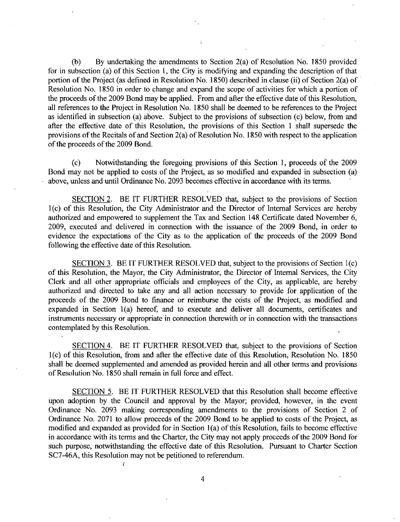(b) By undertaking the amendments to Section  $2(a)$  of Resolution No. 1850 provided for in subsection (a) of this Section 1, the City is modifying and expanding the description of that portion of the Project (as defined in Resolution No. 1850) described in clause (ii) of Section 2(a) of Resolution No. 1850 in order to change and expand the scope of activities for which a portion of the proceeds of the 2009 Bond may be applied. From and after the effective date of this Resolution. all references to the Project in Resolution No. 1850 shall be deemed to be references to the Project as identified in subsection (a) above. Subject to the provisions of subsection (c) below, from and after the effective date of this Resolution, the provisions of this Section 1 shall supersede the provisions of the Recitals of and Section 2(a) of Resolution No. 1850 with respect to the application of the proceeds of th provisions of the Recitals of and Section  $2(a)$  of Resolution No. 1850 with respect to the application of the proceeds of the 2009 Bond.

(c) Notwithstanding the foregoing provisions of this Section 1, proceeds of the 2009 Bond may not be applied to costs of the Project, as so modified and expanded in subsection (a) above, unless and until Ordinance No. 2093 becomes effective in accordance with its terms.

SECTION 2. BE IT FURTHER RESOLVED that, subject to the provisions of Section 1(c) of this Resolution, the City Administrator and the Director of Internal Services are hereby authorized and empowered to supplement the Tax and Section 148 Certificate dated November 6 2009, executed and delivered in connection with the issuance of the 2009 Bond, in order to evidence the expectations of the City as to the application of the proceeds of the <sup>2009</sup> Bond following the effective date of this Resolution.

SECTION 3. BE IT FURTHER RESOLVED that, subject to the provisions of Section 1(c) of this Resolution, the Mayor, the City Administrator, the Director of Internal Services, the City Clerk and all other appropriate officials and employees of the City, as applicable, are hereby authorized and directed to take any and all action necessary to provide for application of the proceeds of the 2009 Bond to finance or reimburse the costs of the Project, as modified and expanded in Section 1(a) hereof, and to execute and deliver all documents, certificates and instruments necessary or appropriate in connection therewith or in connection with the transactions contemplated by this Resolution

SECTION 4. BE IT FURTHER RESOLVED that, subject to the provisions of Section 1(c) of this Resolution, from and after the effective date of this Resolution, Resolution No. 1850 shall be deemed supplemented and amended as provided herein and all other terms and provisions of Resolution No. 1850 shall remain in full force and effect.

SECTION 5. BE IT FURTHER RESOLVED that this Resolution shall become effective upon adoption by the Council and approval by the Mayor; provided, however, in the event Ordinance No. 2093 making corresponding amendments to the provisions of Section 2 of Ordinance No. 2071 to allow proceeds of the 2009 Bond to be applied to costs of the Project, as modified and expanded as provided for in Section  $1(a)$  of this Resolution, fails to become effective in accordance with its terms and the Charter, the City may not apply proceeds of the 2009 Bond for such purpose, notwithstanding the effective date of this Resolution. Pursuant to Charter Section SC7-46A, this Resolution may not be petitioned to referendum.